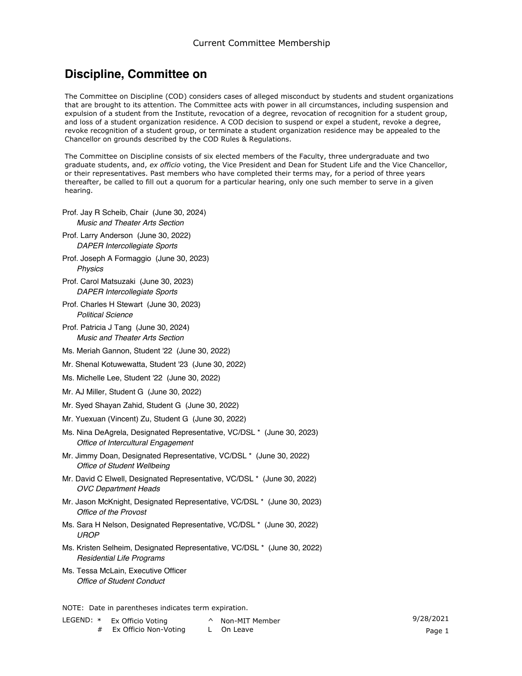## **Discipline, Committee on**

The Committee on Discipline (COD) considers cases of alleged misconduct by students and student organizations that are brought to its attention. The Committee acts with power in all circumstances, including suspension and expulsion of a student from the Institute, revocation of a degree, revocation of recognition for a student group, and loss of a student organization residence. A COD decision to suspend or expel a student, revoke a degree, revoke recognition of a student group, or terminate a student organization residence may be appealed to the Chancellor on grounds described by the COD Rules & Regulations.

The Committee on Discipline consists of six elected members of the Faculty, three undergraduate and two graduate students, and, *ex officio* voting, the Vice President and Dean for Student Life and the Vice Chancellor, or their representatives. Past members who have completed their terms may, for a period of three years thereafter, be called to fill out a quorum for a particular hearing, only one such member to serve in a given hearing.

- *Music and Theater Arts Section* Prof. Jay R Scheib, Chair (June 30, 2024)
- *DAPER Intercollegiate Sports* Prof. Larry Anderson (June 30, 2022)
- *Physics* Prof. Joseph A Formaggio (June 30, 2023)
- *DAPER Intercollegiate Sports* Prof. Carol Matsuzaki (June 30, 2023)
- *Political Science* Prof. Charles H Stewart (June 30, 2023)
- *Music and Theater Arts Section* Prof. Patricia J Tang (June 30, 2024)
- Ms. Meriah Gannon, Student '22 (June 30, 2022)
- Mr. Shenal Kotuwewatta, Student '23 (June 30, 2022)
- Ms. Michelle Lee, Student '22 (June 30, 2022)
- Mr. AJ Miller, Student G (June 30, 2022)
- Mr. Syed Shayan Zahid, Student G (June 30, 2022)
- Mr. Yuexuan (Vincent) Zu, Student G (June 30, 2022)
- *Office of Intercultural Engagement* Ms. Nina DeAgrela, Designated Representative, VC/DSL \* (June 30, 2023)
- *Office of Student Wellbeing* Mr. Jimmy Doan, Designated Representative, VC/DSL \* (June 30, 2022)
- *OVC Department Heads* Mr. David C Elwell, Designated Representative, VC/DSL \* (June 30, 2022)
- *Office of the Provost* Mr. Jason McKnight, Designated Representative, VC/DSL \* (June 30, 2023)
- *UROP* Ms. Sara H Nelson, Designated Representative, VC/DSL \* (June 30, 2022)
- *Residential Life Programs* Ms. Kristen Selheim, Designated Representative, VC/DSL \* (June 30, 2022)
- *Office of Student Conduct* Ms. Tessa McLain, Executive Officer

NOTE: Date in parentheses indicates term expiration.

- LEGEND: \* Ex Officio Voting # Ex Officio Non-Voting
- ^ Non-MIT Member 9/28/2021 L On Leave